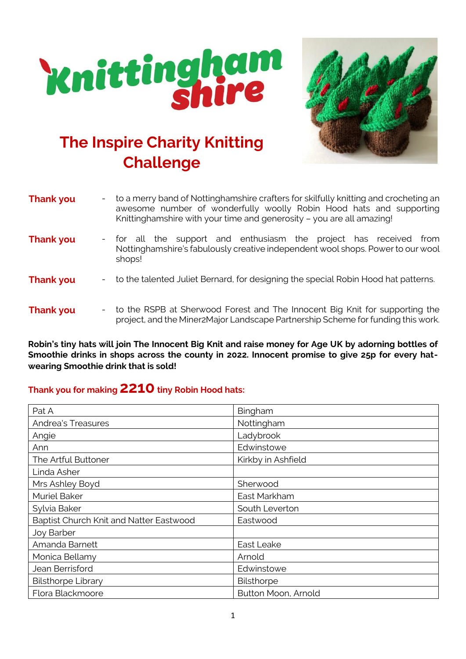



## **The Inspire Charity Knitting Challenge**

| <b>Thank you</b><br>$\sim 100$ | to a merry band of Nottinghamshire crafters for skilfully knitting and crocheting an<br>awesome number of wonderfully woolly Robin Hood hats and supporting<br>Knittinghamshire with your time and generosity - you are all amazing! |
|--------------------------------|--------------------------------------------------------------------------------------------------------------------------------------------------------------------------------------------------------------------------------------|
| <b>Thank you</b>               | - for all the support and enthusiasm the project has received<br>from<br>Nottinghamshire's fabulously creative independent wool shops. Power to our wool<br>shops!                                                                   |
| <b>Thank you</b>               | - to the talented Juliet Bernard, for designing the special Robin Hood hat patterns.                                                                                                                                                 |
| <b>Thank you</b>               | - to the RSPB at Sherwood Forest and The Innocent Big Knit for supporting the<br>project, and the Miner2Major Landscape Partnership Scheme for funding this work.                                                                    |

**Robin's tiny hats will join The Innocent Big Knit and raise money for Age UK by adorning bottles of Smoothie drinks in shops across the county in 2022. Innocent promise to give 25p for every hatwearing Smoothie drink that is sold!**

## **Thank you for making 2210tiny Robin Hood hats:**

| Pat A                                   | Bingham             |
|-----------------------------------------|---------------------|
| <b>Andrea's Treasures</b>               | Nottingham          |
| Angie                                   | Ladybrook           |
| Ann                                     | Edwinstowe          |
| The Artful Buttoner                     | Kirkby in Ashfield  |
| Linda Asher                             |                     |
| Mrs Ashley Boyd                         | Sherwood            |
| <b>Muriel Baker</b>                     | East Markham        |
| Sylvia Baker                            | South Leverton      |
| Baptist Church Knit and Natter Eastwood | Eastwood            |
| Joy Barber                              |                     |
| Amanda Barnett                          | East Leake          |
| Monica Bellamy                          | Arnold              |
| Jean Berrisford                         | Edwinstowe          |
| <b>Bilsthorpe Library</b>               | Bilsthorpe          |
| Flora Blackmoore                        | Button Moon, Arnold |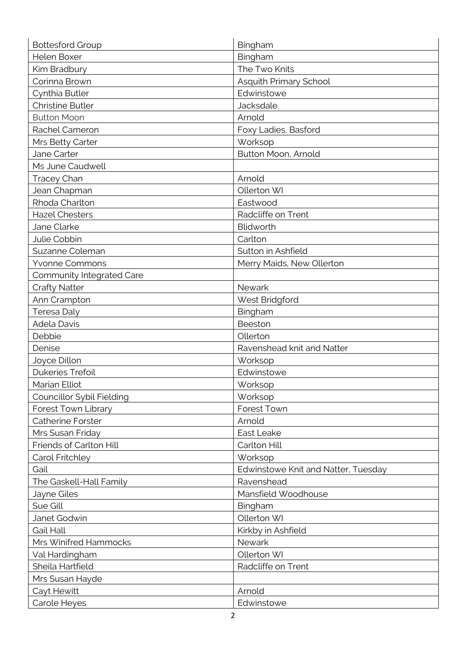| <b>Bottesford Group</b>   | Bingham                             |
|---------------------------|-------------------------------------|
| Helen Boxer               | Bingham                             |
| Kim Bradbury              | The Two Knits                       |
| Corinna Brown             | Asquith Primary School              |
| Cynthia Butler            | Edwinstowe                          |
| <b>Christine Butler</b>   | Jacksdale                           |
| <b>Button Moon</b>        | Arnold                              |
| Rachel Cameron            | Foxy Ladies, Basford                |
| Mrs Betty Carter          | Worksop                             |
| Jane Carter               | Button Moon, Arnold                 |
| Ms June Caudwell          |                                     |
| <b>Tracey Chan</b>        | Arnold                              |
| Jean Chapman              | Ollerton WI                         |
| Rhoda Charlton            | Eastwood                            |
| <b>Hazel Chesters</b>     | Radcliffe on Trent                  |
| Jane Clarke               | Blidworth                           |
| Julie Cobbin              | Carlton                             |
| Suzanne Coleman           | Sutton in Ashfield                  |
| <b>Yvonne Commons</b>     | Merry Maids, New Ollerton           |
| Community Integrated Care |                                     |
| <b>Crafty Natter</b>      | Newark                              |
| Ann Crampton              | West Bridgford                      |
| Teresa Daly               | Bingham                             |
| <b>Adela Davis</b>        | Beeston                             |
| Debbie                    | Ollerton                            |
| Denise                    | Ravenshead knit and Natter          |
| Joyce Dillon              | Worksop                             |
| Dukeries Trefoil          | Edwinstowe                          |
| Marian Elliot             | Worksop                             |
| Councillor Sybil Fielding | Worksop                             |
| Forest Town Library       | Forest Town                         |
| Catherine Forster         | Arnold                              |
| Mrs Susan Friday          | East Leake                          |
| Friends of Carlton Hill   | Carlton Hill                        |
| Carol Fritchley           | Worksop                             |
| Gail                      | Edwinstowe Knit and Natter, Tuesday |
| The Gaskell-Hall Family   | Ravenshead                          |
| Jayne Giles               | Mansfield Woodhouse                 |
| Sue Gill                  | Bingham                             |
| Janet Godwin              | Ollerton WI                         |
| <b>Gail Hall</b>          | Kirkby in Ashfield                  |
| Mrs Winifred Hammocks     | Newark                              |
| Val Hardingham            | Ollerton WI                         |
| Sheila Hartfield          | Radcliffe on Trent                  |
| Mrs Susan Hayde           |                                     |
| Cayt Hewitt               | Arnold                              |
| Carole Heyes              | Edwinstowe                          |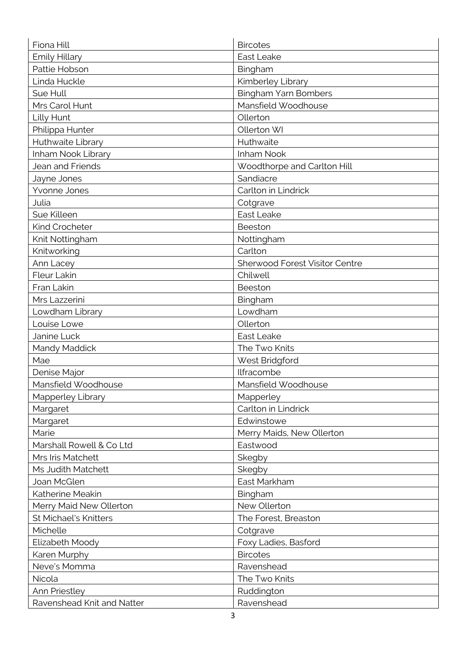| Fiona Hill                 | <b>Bircotes</b>                |
|----------------------------|--------------------------------|
| <b>Emily Hillary</b>       | East Leake                     |
| Pattie Hobson              | Bingham                        |
| Linda Huckle               | Kimberley Library              |
| Sue Hull                   | Bingham Yarn Bombers           |
| Mrs Carol Hunt             | Mansfield Woodhouse            |
| Lilly Hunt                 | Ollerton                       |
| Philippa Hunter            | Ollerton WI                    |
| Huthwaite Library          | Huthwaite                      |
| Inham Nook Library         | Inham Nook                     |
| Jean and Friends           | Woodthorpe and Carlton Hill    |
| Jayne Jones                | Sandiacre                      |
| Yvonne Jones               | Carlton in Lindrick            |
| Julia                      | Cotgrave                       |
| Sue Killeen                | East Leake                     |
| Kind Crocheter             | Beeston                        |
| Knit Nottingham            | Nottingham                     |
| Knitworking                | Carlton                        |
| Ann Lacey                  | Sherwood Forest Visitor Centre |
| Fleur Lakin                | Chilwell                       |
| Fran Lakin                 | Beeston                        |
| Mrs Lazzerini              | Bingham                        |
| Lowdham Library            | Lowdham                        |
| Louise Lowe                | Ollerton                       |
| Janine Luck                | East Leake                     |
| Mandy Maddick              | The Two Knits                  |
| Mae                        | West Bridgford                 |
| Denise Major               | Ilfracombe                     |
| Mansfield Woodhouse        | Mansfield Woodhouse            |
| Mapperley Library          | Mapperley                      |
| Margaret                   | Carlton in Lindrick            |
| Margaret                   | Edwinstowe                     |
| Marie                      | Merry Maids, New Ollerton      |
| Marshall Rowell & Co Ltd   | Eastwood                       |
| Mrs Iris Matchett          | Skegby                         |
| Ms Judith Matchett         | Skegby                         |
| Joan McGlen                | East Markham                   |
| Katherine Meakin           | Bingham                        |
| Merry Maid New Ollerton    | New Ollerton                   |
| St Michael's Knitters      | The Forest, Breaston           |
| Michelle                   | Cotgrave                       |
| Elizabeth Moody            | Foxy Ladies, Basford           |
| Karen Murphy               | <b>Bircotes</b>                |
| Neve's Momma               | Ravenshead                     |
| Nicola                     | The Two Knits                  |
| Ann Priestley              | Ruddington                     |
| Ravenshead Knit and Natter | Ravenshead                     |